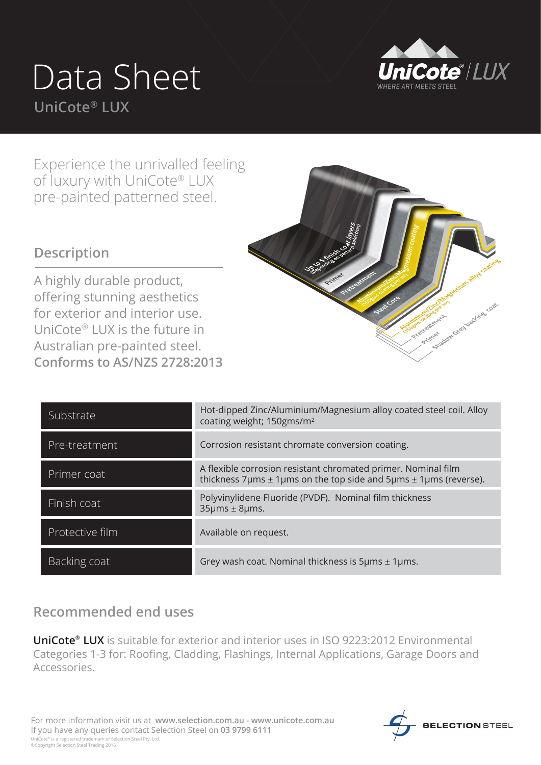## Data Sheet **UniCote® LUX**



Experience the unrivalled feeling of luxury with UniCote® LUX pre-painted patterned steel.

## **Description**

A highly durable product, offering stunning aesthetics for exterior and interior use. UniCote® LUX is the future in Australian pre-painted steel. **Conforms to AS/NZS 2728:2013**



| Substrate       | Hot-dipped Zinc/Aluminium/Magnesium alloy coated steel coil. Alloy<br>coating weight; 150gms/m <sup>2</sup>                                                       |
|-----------------|-------------------------------------------------------------------------------------------------------------------------------------------------------------------|
| Pre-treatment   | Corrosion resistant chromate conversion coating.                                                                                                                  |
| Primer coat     | A flexible corrosion resistant chromated primer. Nominal film<br>thickness 7 $\mu$ ms $\pm$ 1 $\mu$ ms on the top side and 5 $\mu$ ms $\pm$ 1 $\mu$ ms (reverse). |
| Finish coat     | Polyvinylidene Fluoride (PVDF). Nominal film thickness<br>$35 \mu m s \pm 8 \mu m s$ .                                                                            |
| Protective film | Available on request.                                                                                                                                             |
| Backing coat    | Grey wash coat. Nominal thickness is $5\mu$ ms $\pm$ 1 $\mu$ ms.                                                                                                  |

## **Recommended end uses**

**UniCote® LUX** is suitable for exterior and interior uses in ISO 9223:2012 Environmental Categories 1-3 for: Roofing, Cladding, Flashings, Internal Applications, Garage Doors and Accessories.